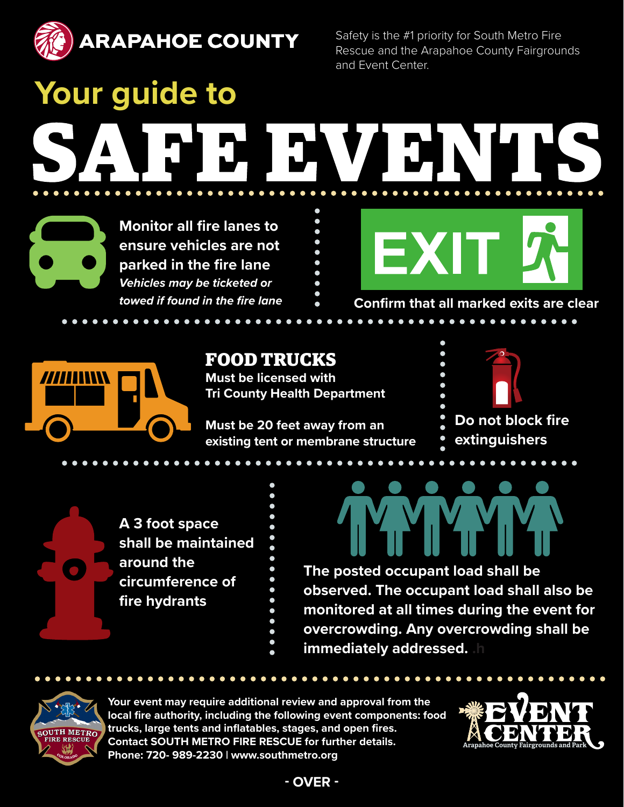

Safety is the #1 priority for South Metro Fire Rescue and the Arapahoe County Fairgrounds and Event Center.

**Your guide to DE NYA DE** 

**Monitor all fire lanes to ensure vehicles are not parked in the fire lane** *Vehicles may be ticketed or towed if found in the fire lane*



**Confirm that all marked exits are clear**



# **FOOD TRUCKS**

**Must be licensed with Tri County Health Department** 

**Must be 20 feet away from an existing tent or membrane structure**



 $$ 

**A 3 foot space shall be maintained around the circumference of fire hydrants**

**The posted occupant load shall be observed. The occupant load shall also be monitored at all times during the event for overcrowding. Any overcrowding shall be** 

**immediately addressed.** 

OUTH METRO

**Your event may require additional review and approval from the local fire authority, including the following event components: food trucks, large tents and inflatables, stages, and open fires. Contact SOUTH METRO FIRE RESCUE for further details. Phone: 720- 989-2230 | www.southmetro.org**